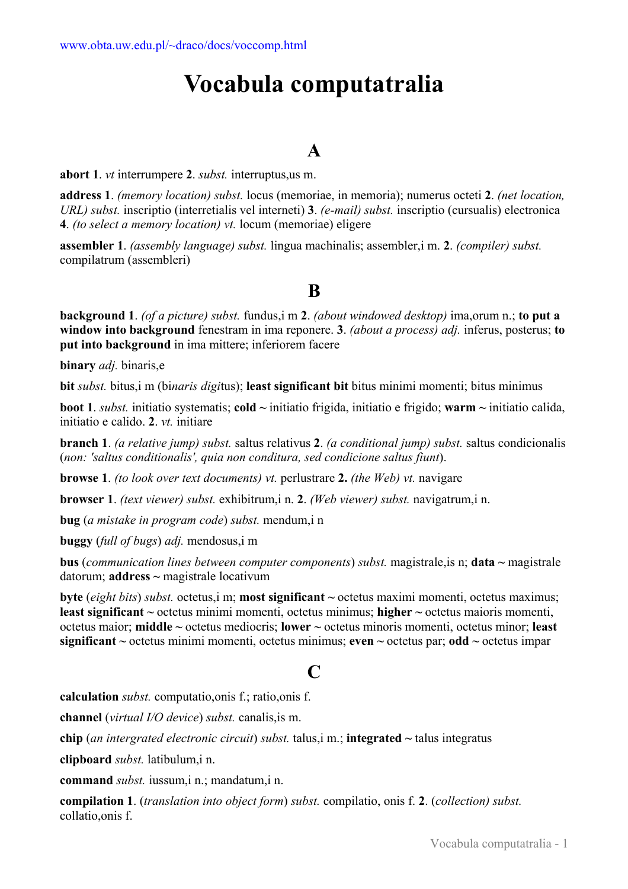# **Vocabula computatralia**

# **A**

**abort 1**. *vt* interrumpere **2**. *subst.* interruptus,us m.

**address 1**. *(memory location) subst.* locus (memoriae, in memoria); numerus octeti **2**. *(net location, URL) subst.* inscriptio (interretialis vel interneti) **3**. *(e-mail) subst.* inscriptio (cursualis) electronica **4**. *(to select a memory location) vt.* locum (memoriae) eligere

**assembler 1**. *(assembly language) subst.* lingua machinalis; assembler,i m. **2**. *(compiler) subst.* compilatrum (assembleri)

# **B**

**background 1**. *(of a picture) subst.* fundus,i m **2**. *(about windowed desktop)* ima,orum n.; **to put a window into background** fenestram in ima reponere. **3**. *(about a process) adj.* inferus, posterus; **to put into background** in ima mittere; inferiorem facere

**binary** *adj.* binaris,e

**bit** *subst.* bitus,i m (bi*naris digi*tus); **least significant bit** bitus minimi momenti; bitus minimus

**boot 1**. *subst.* initiatio systematis; **cold ~** initiatio frigida, initiatio e frigido; **warm ~** initiatio calida, initiatio e calido. **2**. *vt.* initiare

**branch 1**. *(a relative jump) subst.* saltus relativus **2**. *(a conditional jump) subst.* saltus condicionalis (*non: 'saltus conditionalis', quia non conditura, sed condicione saltus fiunt*).

**browse 1**. *(to look over text documents) vt.* perlustrare **2.** *(the Web) vt.* navigare

**browser 1**. *(text viewer) subst.* exhibitrum,i n. **2**. *(Web viewer) subst.* navigatrum,i n.

**bug** (*a mistake in program code*) *subst.* mendum,i n

**buggy** (*full of bugs*) *adj.* mendosus,i m

**bus** (*communication lines between computer components*) *subst.* magistrale,is n; **data ~** magistrale datorum; **address ~** magistrale locativum

**byte** (*eight bits*) *subst.* octetus,i m; **most significant ~** octetus maximi momenti, octetus maximus; **least significant ~** octetus minimi momenti, octetus minimus; **higher ~** octetus maioris momenti, octetus maior; **middle ~** octetus mediocris; **lower ~** octetus minoris momenti, octetus minor; **least significant ~** octetus minimi momenti, octetus minimus; **even ~** octetus par; **odd ~** octetus impar

# $\Gamma$

**calculation** *subst.* computatio,onis f.; ratio,onis f.

**channel** (*virtual I/O device*) *subst.* canalis,is m.

**chip** (*an intergrated electronic circuit*) *subst.* talus,i m.; **integrated ~** talus integratus

**clipboard** *subst.* latibulum,i n.

**command** *subst.* iussum,i n.; mandatum,i n.

**compilation 1**. (*translation into object form*) *subst.* compilatio, onis f. **2**. (*collection) subst.*  collatio,onis f.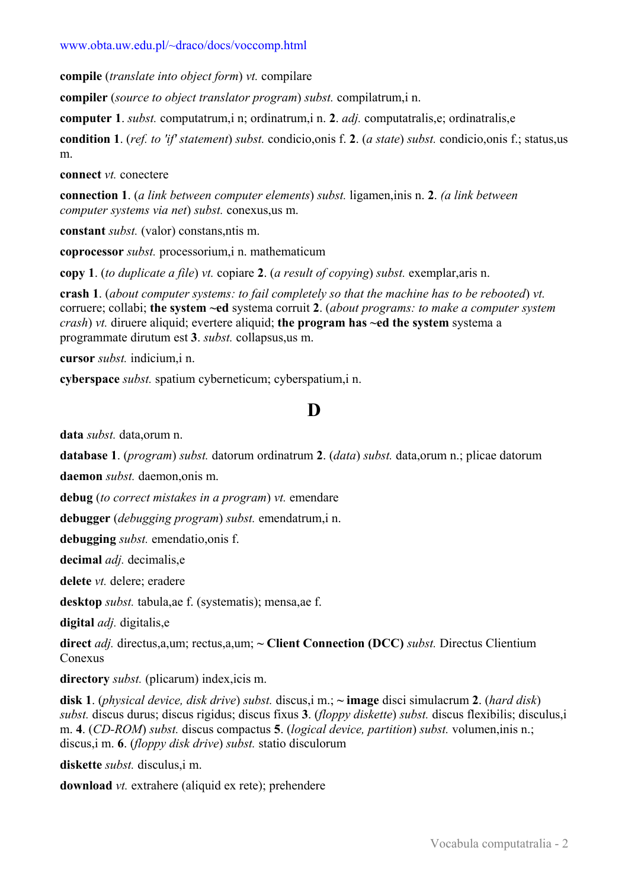#### www.obta.uw.edu.pl/~draco/docs/voccomp.html

**compile** (*translate into object form*) *vt.* compilare

**compiler** (*source to object translator program*) *subst.* compilatrum,i n.

**computer 1**. *subst.* computatrum,i n; ordinatrum,i n. **2**. *adj.* computatralis,e; ordinatralis,e

**condition 1**. (*ref. to 'if' statement*) *subst.* condicio,onis f. **2**. (*a state*) *subst.* condicio,onis f.; status,us m.

**connect** *vt.* conectere

**connection 1**. (*a link between computer elements*) *subst.* ligamen,inis n. **2**. *(a link between computer systems via net*) *subst.* conexus,us m.

**constant** *subst.* (valor) constans,ntis m.

**coprocessor** *subst.* processorium,i n. mathematicum

**copy 1**. (*to duplicate a file*) *vt.* copiare **2**. (*a result of copying*) *subst.* exemplar,aris n.

**crash 1**. (*about computer systems: to fail completely so that the machine has to be rebooted*) *vt.* corruere; collabi; **the system ~ed** systema corruit **2**. (*about programs: to make a computer system crash*) *vt.* diruere aliquid; evertere aliquid; **the program has ~ed the system** systema a programmate dirutum est **3**. *subst.* collapsus,us m.

**cursor** *subst.* indicium,i n.

**cyberspace** *subst.* spatium cyberneticum; cyberspatium,i n.

# **D**

**data** *subst.* data,orum n.

**database 1**. (*program*) *subst.* datorum ordinatrum **2**. (*data*) *subst.* data,orum n.; plicae datorum

**daemon** *subst.* daemon,onis m.

**debug** (*to correct mistakes in a program*) *vt.* emendare

**debugger** (*debugging program*) *subst.* emendatrum,i n.

**debugging** *subst.* emendatio,onis f.

**decimal** *adj.* decimalis,e

**delete** *vt.* delere; eradere

**desktop** *subst.* tabula,ae f. (systematis); mensa,ae f.

**digital** *adj.* digitalis,e

**direct** *adj.* directus,a,um; rectus,a,um; **~ Client Connection (DCC)** *subst.* Directus Clientium Conexus

**directory** *subst.* (plicarum) index,icis m.

**disk 1**. (*physical device, disk drive*) *subst.* discus,i m.; **~ image** disci simulacrum **2**. (*hard disk*) *subst.* discus durus; discus rigidus; discus fixus **3**. (*floppy diskette*) *subst.* discus flexibilis; disculus,i m. **4**. (*CD-ROM*) *subst.* discus compactus **5**. (*logical device, partition*) *subst.* volumen,inis n.; discus,i m. **6**. (*floppy disk drive*) *subst.* statio disculorum

**diskette** *subst.* disculus,i m.

**download** *vt.* extrahere (aliquid ex rete); prehendere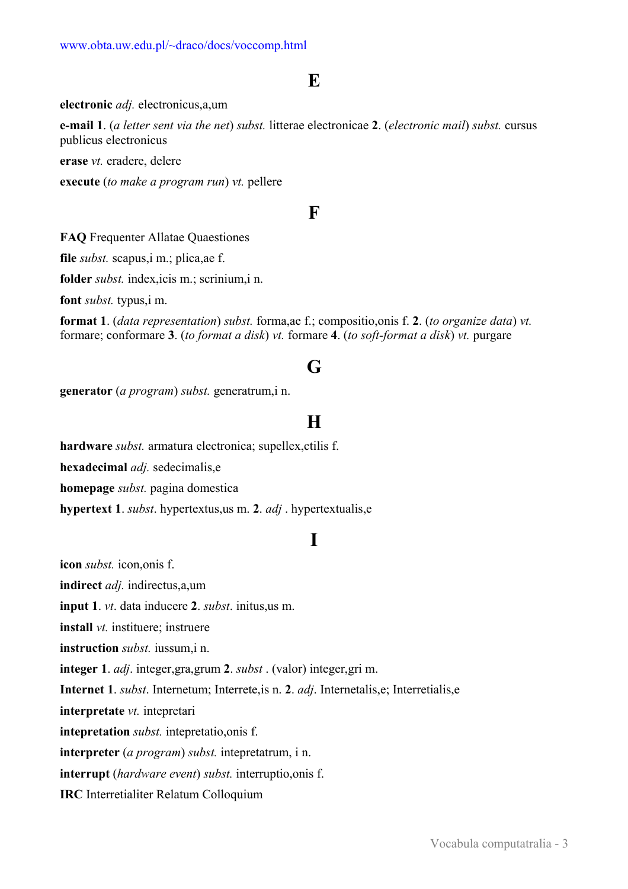# **E**

#### **electronic** *adj.* electronicus,a,um

**e-mail 1**. (*a letter sent via the net*) *subst.* litterae electronicae **2**. (*electronic mail*) *subst.* cursus publicus electronicus

**erase** *vt.* eradere, delere

**execute** (*to make a program run*) *vt.* pellere

# **F**

**FAQ** Frequenter Allatae Quaestiones

**file** *subst.* scapus,i m.; plica,ae f.

**folder** *subst.* index,icis m.; scrinium,i n.

**font** *subst.* typus,i m.

**format 1**. (*data representation*) *subst.* forma,ae f.; compositio,onis f. **2**. (*to organize data*) *vt.* formare; conformare **3**. (*to format a disk*) *vt.* formare **4**. (*to soft-format a disk*) *vt.* purgare

# **G**

**generator** (*a program*) *subst.* generatrum,i n.

# **H**

**hardware** *subst.* armatura electronica; supellex,ctilis f.

**hexadecimal** *adj.* sedecimalis,e

**homepage** *subst.* pagina domestica

**hypertext 1**. *subst*. hypertextus,us m. **2**. *adj* . hypertextualis,e

### **I**

**icon** *subst.* icon,onis f.

**indirect** *adj.* indirectus,a,um

**input 1**. *vt*. data inducere **2**. *subst*. initus,us m.

**install** *vt.* instituere; instruere

**instruction** *subst.* iussum,i n.

**integer 1**. *adj*. integer,gra,grum **2**. *subst* . (valor) integer,gri m.

**Internet 1**. *subst*. Internetum; Interrete,is n. **2**. *adj*. Internetalis,e; Interretialis,e

**interpretate** *vt.* intepretari

**intepretation** *subst.* intepretatio,onis f.

**interpreter** (*a program*) *subst.* intepretatrum, i n.

**interrupt** (*hardware event*) *subst.* interruptio,onis f.

**IRC** Interretialiter Relatum Colloquium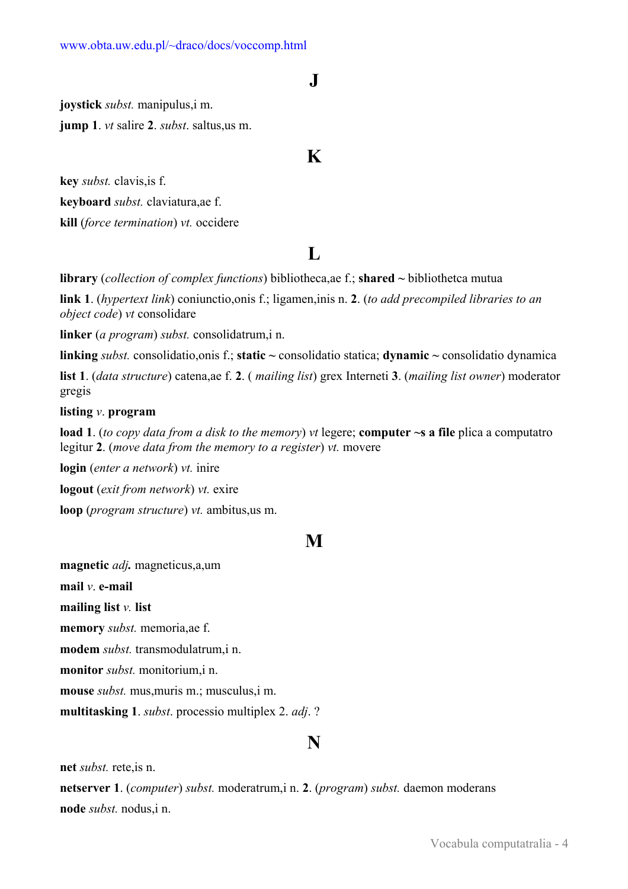### **J**

**joystick** *subst.* manipulus,i m.

**jump 1**. *vt* salire **2**. *subst*. saltus,us m.

### **K**

**key** *subst.* clavis,is f.

**keyboard** *subst.* claviatura,ae f.

**kill** (*force termination*) *vt.* occidere

# **L**

**library** (*collection of complex functions*) bibliotheca,ae f.; **shared ~** bibliothetca mutua

**link 1**. (*hypertext link*) coniunctio,onis f.; ligamen,inis n. **2**. (*to add precompiled libraries to an object code*) *vt* consolidare

**linker** (*a program*) *subst.* consolidatrum,i n.

**linking** *subst.* consolidatio,onis f.; **static ~** consolidatio statica; **dynamic ~** consolidatio dynamica

**list 1**. (*data structure*) catena,ae f. **2**. ( *mailing list*) grex Interneti **3**. (*mailing list owner*) moderator gregis

#### **listing** *v*. **program**

**load 1**. (*to copy data from a disk to the memory*) *vt* legere; **computer ~s a file** plica a computatro legitur **2**. (*move data from the memory to a register*) *vt.* movere

**login** (*enter a network*) *vt.* inire

**logout** (*exit from network*) *vt.* exire

**loop** (*program structure*) *vt.* ambitus,us m.

### **M**

**magnetic** *adj.* magneticus,a,um

**mail** *v*. **e-mail**

**mailing list** *v.* **list**

**memory** *subst.* memoria,ae f.

**modem** *subst.* transmodulatrum,i n.

**monitor** *subst.* monitorium,i n.

**mouse** *subst.* mus,muris m.; musculus,i m.

**multitasking 1**. *subst*. processio multiplex 2. *adj*. ?

### **N**

**net** *subst.* rete,is n.

**netserver 1**. (*computer*) *subst.* moderatrum,i n. **2**. (*program*) *subst.* daemon moderans **node** *subst.* nodus,i n.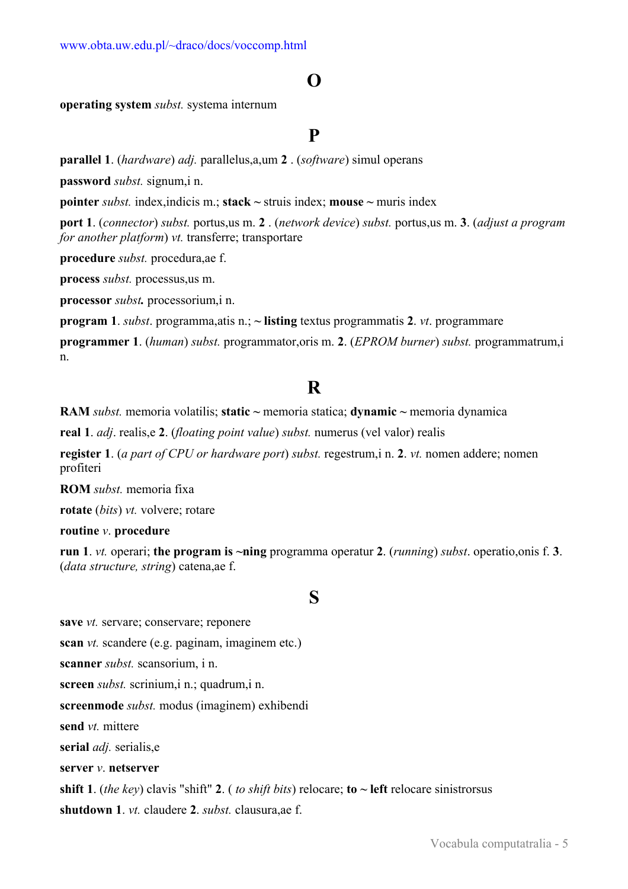# **O**

**operating system** *subst.* systema internum

### **P**

**parallel 1**. (*hardware*) *adj.* parallelus,a,um **2** . (*software*) simul operans

**password** *subst.* signum,i n.

**pointer** *subst.* index,indicis m.; **stack ~** struis index; **mouse ~** muris index

**port 1**. (*connector*) *subst.* portus,us m. **2** . (*network device*) *subst.* portus,us m. **3**. (*adjust a program for another platform*) *vt.* transferre; transportare

**procedure** *subst.* procedura,ae f.

**process** *subst.* processus,us m.

**processor** *subst.* processorium,i n.

**program 1**. *subst*. programma,atis n.; **~ listing** textus programmatis **2**. *vt*. programmare

**programmer 1**. (*human*) *subst.* programmator,oris m. **2**. (*EPROM burner*) *subst.* programmatrum,i n.

# **R**

**RAM** *subst.* memoria volatilis; **static ~** memoria statica; **dynamic ~** memoria dynamica

**real 1**. *adj*. realis,e **2**. (*floating point value*) *subst.* numerus (vel valor) realis

**register 1**. (*a part of CPU or hardware port*) *subst.* regestrum,i n. **2**. *vt.* nomen addere; nomen profiteri

**ROM** *subst.* memoria fixa

**rotate** (*bits*) *vt.* volvere; rotare

**routine** *v*. **procedure**

**run 1**. *vt.* operari; **the program is ~ning** programma operatur **2**. (*running*) *subst*. operatio,onis f. **3**. (*data structure, string*) catena,ae f.

### **S**

**save** *vt.* servare; conservare; reponere

**scan** *vt.* scandere (e.g. paginam, imaginem etc.)

**scanner** *subst.* scansorium, i n.

**screen** *subst.* scrinium,i n.; quadrum,i n.

**screenmode** *subst.* modus (imaginem) exhibendi

**send** *vt.* mittere

**serial** *adj.* serialis,e

**server** *v*. **netserver**

#### **shift 1**. (*the key*) clavis "shift" **2**. (*to shift bits*) relocare; **to**  $\sim$  **left** relocare sinistrorsus

**shutdown 1**. *vt.* claudere **2**. *subst.* clausura,ae f.